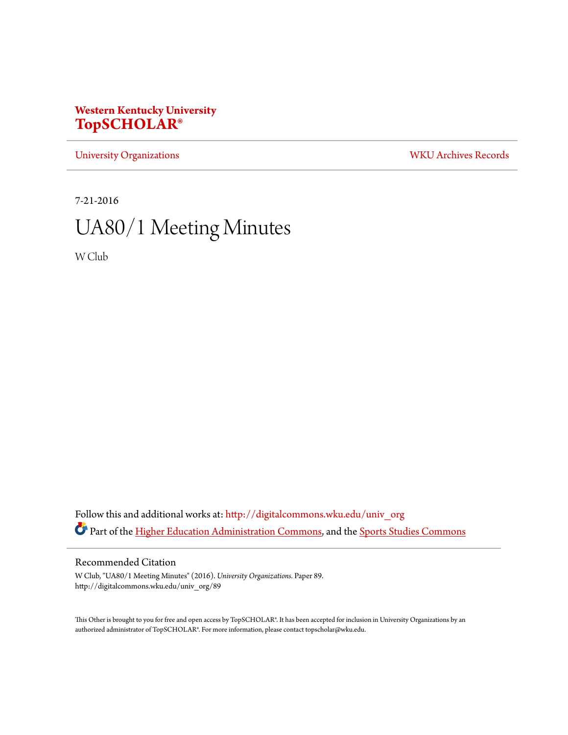## **Western Kentucky University [TopSCHOLAR®](http://digitalcommons.wku.edu?utm_source=digitalcommons.wku.edu%2Funiv_org%2F89&utm_medium=PDF&utm_campaign=PDFCoverPages)**

[University Organizations](http://digitalcommons.wku.edu/univ_org?utm_source=digitalcommons.wku.edu%2Funiv_org%2F89&utm_medium=PDF&utm_campaign=PDFCoverPages) [WKU Archives Records](http://digitalcommons.wku.edu/dlsc_ua_records?utm_source=digitalcommons.wku.edu%2Funiv_org%2F89&utm_medium=PDF&utm_campaign=PDFCoverPages)

7-21-2016

# UA80/1 Meeting Minutes

W Club

Follow this and additional works at: [http://digitalcommons.wku.edu/univ\\_org](http://digitalcommons.wku.edu/univ_org?utm_source=digitalcommons.wku.edu%2Funiv_org%2F89&utm_medium=PDF&utm_campaign=PDFCoverPages) Part of the [Higher Education Administration Commons](http://network.bepress.com/hgg/discipline/791?utm_source=digitalcommons.wku.edu%2Funiv_org%2F89&utm_medium=PDF&utm_campaign=PDFCoverPages), and the [Sports Studies Commons](http://network.bepress.com/hgg/discipline/1198?utm_source=digitalcommons.wku.edu%2Funiv_org%2F89&utm_medium=PDF&utm_campaign=PDFCoverPages)

#### Recommended Citation

W Club, "UA80/1 Meeting Minutes" (2016). *University Organizations.* Paper 89. http://digitalcommons.wku.edu/univ\_org/89

This Other is brought to you for free and open access by TopSCHOLAR®. It has been accepted for inclusion in University Organizations by an authorized administrator of TopSCHOLAR®. For more information, please contact topscholar@wku.edu.